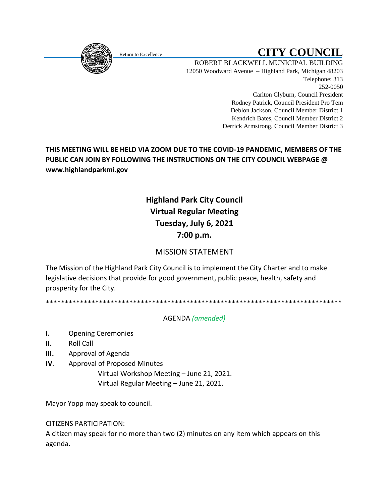

# Return to Excellence **CITY COUNCIL**

ROBERT BLACKWELL MUNICIPAL BUILDING 12050 Woodward Avenue – Highland Park, Michigan 48203 Telephone: 313 252-0050 Carlton Clyburn, Council President Rodney Patrick, Council President Pro Tem Deblon Jackson, Council Member District 1 Kendrich Bates, Council Member District 2 Derrick Armstrong, Council Member District 3

# **THIS MEETING WILL BE HELD VIA ZOOM DUE TO THE COVID-19 PANDEMIC, MEMBERS OF THE PUBLIC CAN JOIN BY FOLLOWING THE INSTRUCTIONS ON THE CITY COUNCIL WEBPAGE @ www.highlandparkmi.gov**

# **Highland Park City Council Virtual Regular Meeting Tuesday, July 6, 2021 7:00 p.m.**

# MISSION STATEMENT

The Mission of the Highland Park City Council is to implement the City Charter and to make legislative decisions that provide for good government, public peace, health, safety and prosperity for the City.

\*\*\*\*\*\*\*\*\*\*\*\*\*\*\*\*\*\*\*\*\*\*\*\*\*\*\*\*\*\*\*\*\*\*\*\*\*\*\*\*\*\*\*\*\*\*\*\*\*\*\*\*\*\*\*\*\*\*\*\*\*\*\*\*\*\*\*\*\*\*\*\*\*\*\*\*\*\*

### AGENDA *(amended)*

- **I.** Opening Ceremonies
- **II.** Roll Call
- **III.** Approval of Agenda
- **IV**. Approval of Proposed Minutes

Virtual Workshop Meeting – June 21, 2021. Virtual Regular Meeting – June 21, 2021.

Mayor Yopp may speak to council.

#### CITIZENS PARTICIPATION:

A citizen may speak for no more than two (2) minutes on any item which appears on this agenda.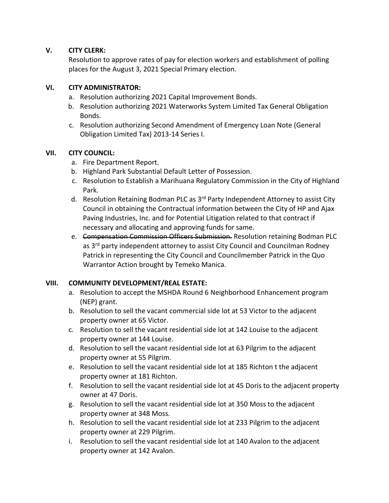#### **V. CITY CLERK:**

Resolution to approve rates of pay for election workers and establishment of polling places for the August 3, 2021 Special Primary election.

#### **VI. CITY ADMINISTRATOR:**

- a. Resolution authorizing 2021 Capital Improvement Bonds.
- b. Resolution authorizing 2021 Waterworks System Limited Tax General Obligation Bonds.
- c. Resolution authorizing Second Amendment of Emergency Loan Note (General Obligation Limited Tax) 2013-14 Series I.

#### **VII. CITY COUNCIL:**

- a. Fire Department Report.
- b. Highland Park Substantial Default Letter of Possession.
- c. Resolution to Establish a Marihuana Regulatory Commission in the City of Highland Park.
- d. Resolution Retaining Bodman PLC as 3<sup>rd</sup> Party Independent Attorney to assist City Council in obtaining the Contractual information between the City of HP and Ajax Paving Industries, Inc. and for Potential Litigation related to that contract if necessary and allocating and approving funds for same.
- e. Compensation Commission Officers Submission. Resolution retaining Bodman PLC as 3<sup>rd</sup> party independent attorney to assist City Council and Councilman Rodney Patrick in representing the City Council and Councilmember Patrick in the Quo Warrantor Action brought by Temeko Manica.

#### **VIII. COMMUNITY DEVELOPMENT/REAL ESTATE:**

- a. Resolution to accept the MSHDA Round 6 Neighborhood Enhancement program (NEP) grant.
- b. Resolution to sell the vacant commercial side lot at 53 Victor to the adjacent property owner at 65 Victor.
- c. Resolution to sell the vacant residential side lot at 142 Louise to the adjacent property owner at 144 Louise.
- d. Resolution to sell the vacant residential side lot at 63 Pilgrim to the adjacent property owner at 55 Pilgrim.
- e. Resolution to sell the vacant residential side lot at 185 Richton t the adjacent property owner at 181 Richton.
- f. Resolution to sell the vacant residential side lot at 45 Doris to the adjacent property owner at 47 Doris.
- g. Resolution to sell the vacant residential side lot at 350 Moss to the adjacent property owner at 348 Moss.
- h. Resolution to sell the vacant residential side lot at 233 Pilgrim to the adjacent property owner at 229 Pilgrim.
- i. Resolution to sell the vacant residential side lot at 140 Avalon to the adjacent property owner at 142 Avalon.